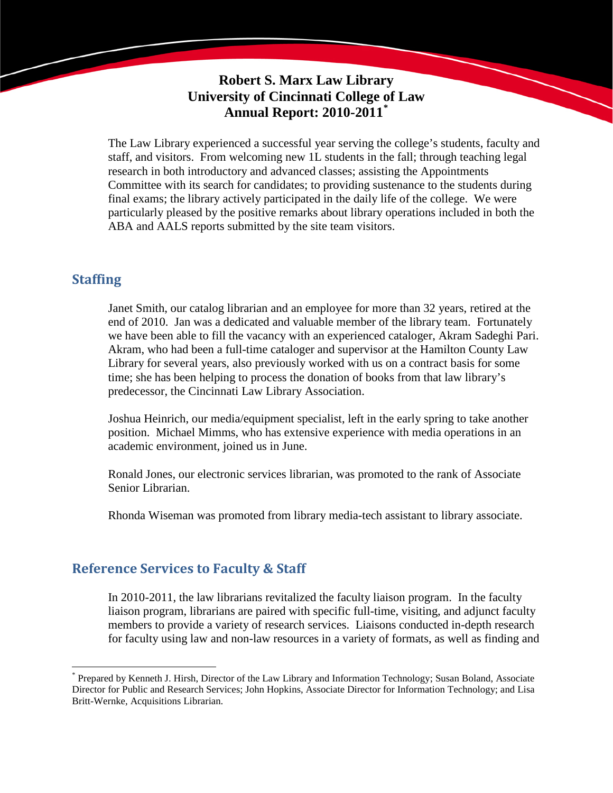# **Robert S. Marx Law Library University of Cincinnati College of Law Annual Report: 2010-2011[\\*](#page-0-0)**

The Law Library experienced a successful year serving the college's students, faculty and staff, and visitors. From welcoming new 1L students in the fall; through teaching legal research in both introductory and advanced classes; assisting the Appointments Committee with its search for candidates; to providing sustenance to the students during final exams; the library actively participated in the daily life of the college. We were particularly pleased by the positive remarks about library operations included in both the ABA and AALS reports submitted by the site team visitors.

## **Staffing**

Janet Smith, our catalog librarian and an employee for more than 32 years, retired at the end of 2010. Jan was a dedicated and valuable member of the library team. Fortunately we have been able to fill the vacancy with an experienced cataloger, Akram Sadeghi Pari. Akram, who had been a full-time cataloger and supervisor at the Hamilton County Law Library for several years, also previously worked with us on a contract basis for some time; she has been helping to process the donation of books from that law library's predecessor, the Cincinnati Law Library Association.

Joshua Heinrich, our media/equipment specialist, left in the early spring to take another position. Michael Mimms, who has extensive experience with media operations in an academic environment, joined us in June.

Ronald Jones, our electronic services librarian, was promoted to the rank of Associate Senior Librarian.

Rhonda Wiseman was promoted from library media-tech assistant to library associate.

## **Reference Services to Faculty & Staff**

In 2010-2011, the law librarians revitalized the faculty liaison program. In the faculty liaison program, librarians are paired with specific full-time, visiting, and adjunct faculty members to provide a variety of research services. Liaisons conducted in-depth research for faculty using law and non-law resources in a variety of formats, as well as finding and

<span id="page-0-0"></span> <sup>\*</sup> Prepared by Kenneth J. Hirsh, Director of the Law Library and Information Technology; Susan Boland, Associate Director for Public and Research Services; John Hopkins, Associate Director for Information Technology; and Lisa Britt-Wernke, Acquisitions Librarian.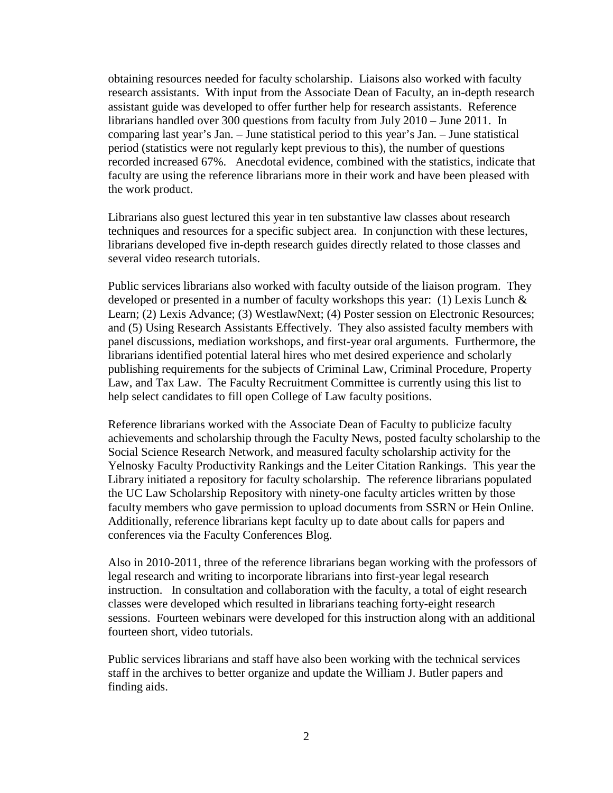obtaining resources needed for faculty scholarship. Liaisons also worked with faculty research assistants. With input from the Associate Dean of Faculty, an in-depth research assistant guide was developed to offer further help for research assistants. Reference librarians handled over 300 questions from faculty from July 2010 – June 2011. In comparing last year's Jan. – June statistical period to this year's Jan. – June statistical period (statistics were not regularly kept previous to this), the number of questions recorded increased 67%. Anecdotal evidence, combined with the statistics, indicate that faculty are using the reference librarians more in their work and have been pleased with the work product.

Librarians also guest lectured this year in ten substantive law classes about research techniques and resources for a specific subject area. In conjunction with these lectures, librarians developed five in-depth research guides directly related to those classes and several video research tutorials.

Public services librarians also worked with faculty outside of the liaison program. They developed or presented in a number of faculty workshops this year: (1) Lexis Lunch  $\&$ Learn; (2) Lexis Advance; (3) WestlawNext; (4) Poster session on Electronic Resources; and (5) Using Research Assistants Effectively. They also assisted faculty members with panel discussions, mediation workshops, and first-year oral arguments. Furthermore, the librarians identified potential lateral hires who met desired experience and scholarly publishing requirements for the subjects of Criminal Law, Criminal Procedure, Property Law, and Tax Law. The Faculty Recruitment Committee is currently using this list to help select candidates to fill open College of Law faculty positions.

Reference librarians worked with the Associate Dean of Faculty to publicize faculty achievements and scholarship through the Faculty News, posted faculty scholarship to the Social Science Research Network, and measured faculty scholarship activity for the Yelnosky Faculty Productivity Rankings and the Leiter Citation Rankings. This year the Library initiated a repository for faculty scholarship. The reference librarians populated the UC Law Scholarship Repository with ninety-one faculty articles written by those faculty members who gave permission to upload documents from SSRN or Hein Online. Additionally, reference librarians kept faculty up to date about calls for papers and conferences via the Faculty Conferences Blog.

Also in 2010-2011, three of the reference librarians began working with the professors of legal research and writing to incorporate librarians into first-year legal research instruction. In consultation and collaboration with the faculty, a total of eight research classes were developed which resulted in librarians teaching forty-eight research sessions. Fourteen webinars were developed for this instruction along with an additional fourteen short, video tutorials.

Public services librarians and staff have also been working with the technical services staff in the archives to better organize and update the William J. Butler papers and finding aids.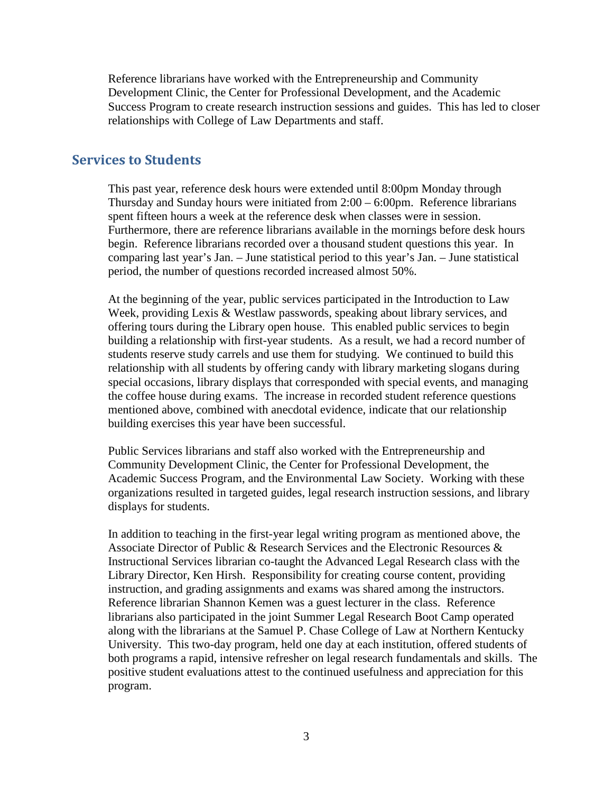Reference librarians have worked with the Entrepreneurship and Community Development Clinic, the Center for Professional Development, and the Academic Success Program to create research instruction sessions and guides. This has led to closer relationships with College of Law Departments and staff.

#### **Services to Students**

This past year, reference desk hours were extended until 8:00pm Monday through Thursday and Sunday hours were initiated from  $2:00 - 6:00$  pm. Reference librarians spent fifteen hours a week at the reference desk when classes were in session. Furthermore, there are reference librarians available in the mornings before desk hours begin. Reference librarians recorded over a thousand student questions this year. In comparing last year's Jan. – June statistical period to this year's Jan. – June statistical period, the number of questions recorded increased almost 50%.

At the beginning of the year, public services participated in the Introduction to Law Week, providing Lexis & Westlaw passwords, speaking about library services, and offering tours during the Library open house. This enabled public services to begin building a relationship with first-year students. As a result, we had a record number of students reserve study carrels and use them for studying. We continued to build this relationship with all students by offering candy with library marketing slogans during special occasions, library displays that corresponded with special events, and managing the coffee house during exams. The increase in recorded student reference questions mentioned above, combined with anecdotal evidence, indicate that our relationship building exercises this year have been successful.

Public Services librarians and staff also worked with the Entrepreneurship and Community Development Clinic, the Center for Professional Development, the Academic Success Program, and the Environmental Law Society. Working with these organizations resulted in targeted guides, legal research instruction sessions, and library displays for students.

In addition to teaching in the first-year legal writing program as mentioned above, the Associate Director of Public & Research Services and the Electronic Resources & Instructional Services librarian co-taught the Advanced Legal Research class with the Library Director, Ken Hirsh. Responsibility for creating course content, providing instruction, and grading assignments and exams was shared among the instructors. Reference librarian Shannon Kemen was a guest lecturer in the class. Reference librarians also participated in the joint Summer Legal Research Boot Camp operated along with the librarians at the Samuel P. Chase College of Law at Northern Kentucky University. This two-day program, held one day at each institution, offered students of both programs a rapid, intensive refresher on legal research fundamentals and skills. The positive student evaluations attest to the continued usefulness and appreciation for this program.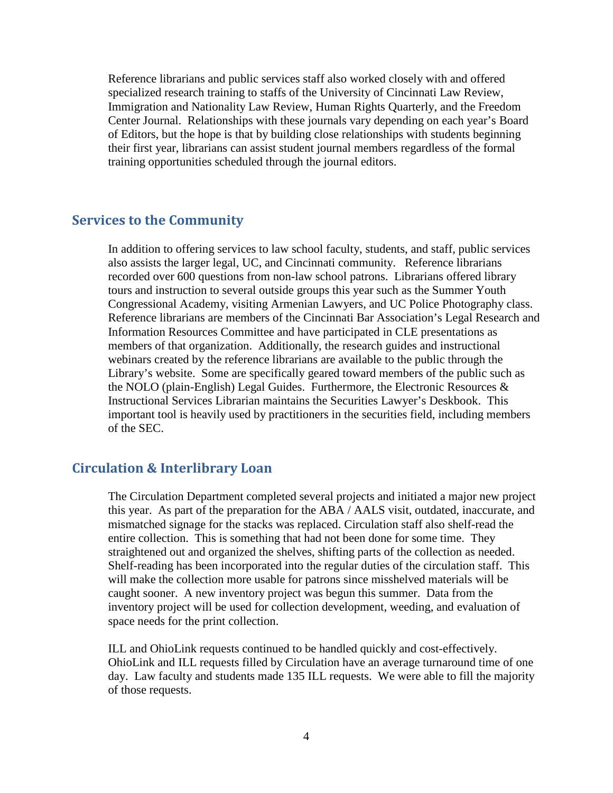Reference librarians and public services staff also worked closely with and offered specialized research training to staffs of the University of Cincinnati Law Review, Immigration and Nationality Law Review, Human Rights Quarterly, and the Freedom Center Journal. Relationships with these journals vary depending on each year's Board of Editors, but the hope is that by building close relationships with students beginning their first year, librarians can assist student journal members regardless of the formal training opportunities scheduled through the journal editors.

## **Services to the Community**

In addition to offering services to law school faculty, students, and staff, public services also assists the larger legal, UC, and Cincinnati community. Reference librarians recorded over 600 questions from non-law school patrons. Librarians offered library tours and instruction to several outside groups this year such as the Summer Youth Congressional Academy, visiting Armenian Lawyers, and UC Police Photography class. Reference librarians are members of the Cincinnati Bar Association's Legal Research and Information Resources Committee and have participated in CLE presentations as members of that organization. Additionally, the research guides and instructional webinars created by the reference librarians are available to the public through the Library's website. Some are specifically geared toward members of the public such as the NOLO (plain-English) Legal Guides. Furthermore, the Electronic Resources & Instructional Services Librarian maintains the Securities Lawyer's Deskbook. This important tool is heavily used by practitioners in the securities field, including members of the SEC.

#### **Circulation & Interlibrary Loan**

The Circulation Department completed several projects and initiated a major new project this year. As part of the preparation for the ABA / AALS visit, outdated, inaccurate, and mismatched signage for the stacks was replaced. Circulation staff also shelf-read the entire collection. This is something that had not been done for some time. They straightened out and organized the shelves, shifting parts of the collection as needed. Shelf-reading has been incorporated into the regular duties of the circulation staff. This will make the collection more usable for patrons since misshelved materials will be caught sooner. A new inventory project was begun this summer. Data from the inventory project will be used for collection development, weeding, and evaluation of space needs for the print collection.

ILL and OhioLink requests continued to be handled quickly and cost-effectively. OhioLink and ILL requests filled by Circulation have an average turnaround time of one day. Law faculty and students made 135 ILL requests. We were able to fill the majority of those requests.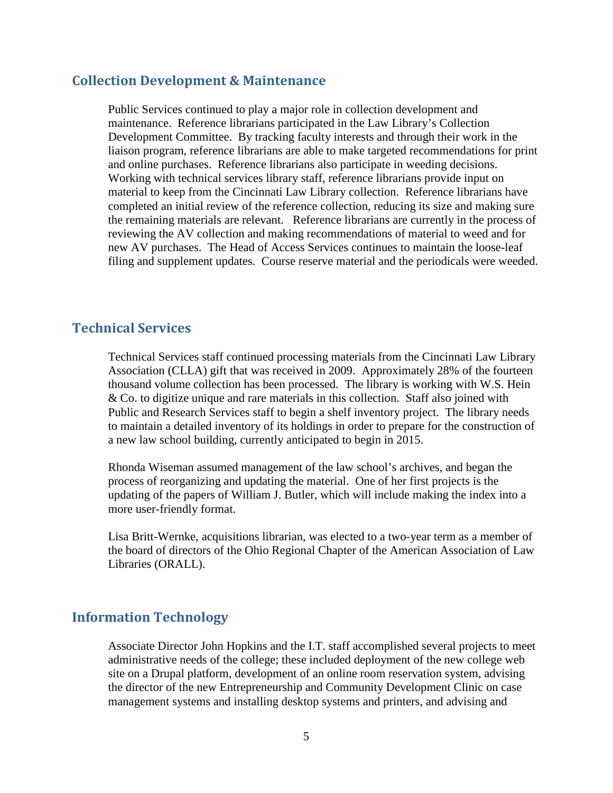#### **Collection Development & Maintenance**

Public Services continued to play a major role in collection development and maintenance. Reference librarians participated in the Law Library's Collection Development Committee. By tracking faculty interests and through their work in the liaison program, reference librarians are able to make targeted recommendations for print and online purchases. Reference librarians also participate in weeding decisions. Working with technical services library staff, reference librarians provide input on material to keep from the Cincinnati Law Library collection. Reference librarians have completed an initial review of the reference collection, reducing its size and making sure the remaining materials are relevant. Reference librarians are currently in the process of reviewing the AV collection and making recommendations of material to weed and for new AV purchases. The Head of Access Services continues to maintain the loose-leaf filing and supplement updates. Course reserve material and the periodicals were weeded.

## **Technical Services**

Technical Services staff continued processing materials from the Cincinnati Law Library Association (CLLA) gift that was received in 2009. Approximately 28% of the fourteen thousand volume collection has been processed. The library is working with W.S. Hein & Co. to digitize unique and rare materials in this collection. Staff also joined with Public and Research Services staff to begin a shelf inventory project. The library needs to maintain a detailed inventory of its holdings in order to prepare for the construction of a new law school building, currently anticipated to begin in 2015.

Rhonda Wiseman assumed management of the law school's archives, and began the process of reorganizing and updating the material. One of her first projects is the updating of the papers of William J. Butler, which will include making the index into a more user-friendly format.

Lisa Britt-Wernke, acquisitions librarian, was elected to a two-year term as a member of the board of directors of the Ohio Regional Chapter of the American Association of Law Libraries (ORALL).

## **Information Technology**

Associate Director John Hopkins and the I.T. staff accomplished several projects to meet administrative needs of the college; these included deployment of the new college web site on a Drupal platform, development of an online room reservation system, advising the director of the new Entrepreneurship and Community Development Clinic on case management systems and installing desktop systems and printers, and advising and